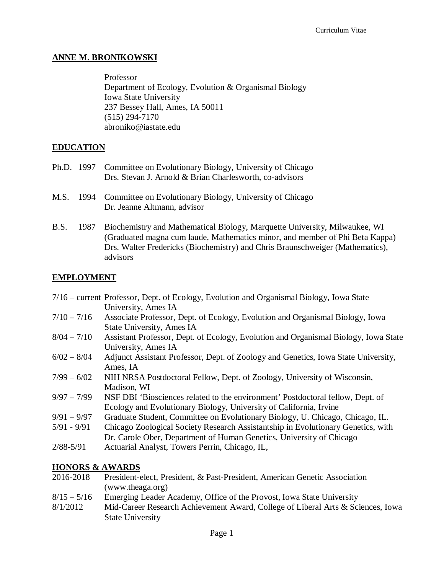# **ANNE M. BRONIKOWSKI**

Professor Department of Ecology, Evolution & Organismal Biology Iowa State University 237 Bessey Hall, Ames, IA 50011 (515) 294-7170 abroniko@iastate.edu

# **EDUCATION**

- Ph.D. 1997 Committee on Evolutionary Biology, University of Chicago Drs. Stevan J. Arnold & Brian Charlesworth, co-advisors
- M.S. 1994 Committee on Evolutionary Biology, University of Chicago Dr. Jeanne Altmann, advisor
- B.S. 1987 Biochemistry and Mathematical Biology, Marquette University, Milwaukee, WI (Graduated magna cum laude, Mathematics minor, and member of Phi Beta Kappa) Drs. Walter Fredericks (Biochemistry) and Chris Braunschweiger (Mathematics), advisors

# **EMPLOYMENT**

|               | 7/16 – current Professor, Dept. of Ecology, Evolution and Organismal Biology, Iowa State |
|---------------|------------------------------------------------------------------------------------------|
|               | University, Ames IA                                                                      |
| $7/10 - 7/16$ | Associate Professor, Dept. of Ecology, Evolution and Organismal Biology, Joy             |

- 7/10 7/16 Associate Professor, Dept. of Ecology, Evolution and Organismal Biology, Iowa State University, Ames IA
- 8/04 7/10 Assistant Professor, Dept. of Ecology, Evolution and Organismal Biology, Iowa State University, Ames IA
- 6/02 8/04 Adjunct Assistant Professor, Dept. of Zoology and Genetics, Iowa State University, Ames, IA
- 7/99 6/02 NIH NRSA Postdoctoral Fellow, Dept. of Zoology, University of Wisconsin, Madison, WI
- 9/97 7/99 NSF DBI 'Biosciences related to the environment' Postdoctoral fellow, Dept. of Ecology and Evolutionary Biology, University of California, Irvine
- 9/91 9/97 Graduate Student, Committee on Evolutionary Biology, U. Chicago, Chicago, IL.
- 5/91 9/91 Chicago Zoological Society Research Assistantship in Evolutionary Genetics, with
- Dr. Carole Ober, Department of Human Genetics, University of Chicago
- 2/88-5/91 Actuarial Analyst, Towers Perrin, Chicago, IL,

#### **HONORS & AWARDS**

- 2016-2018 President-elect, President, & Past-President, American Genetic Association (www.theaga.org)
- 8/15 5/16 Emerging Leader Academy, Office of the Provost, Iowa State University
- 8/1/2012 Mid-Career Research Achievement Award, College of Liberal Arts & Sciences, Iowa State University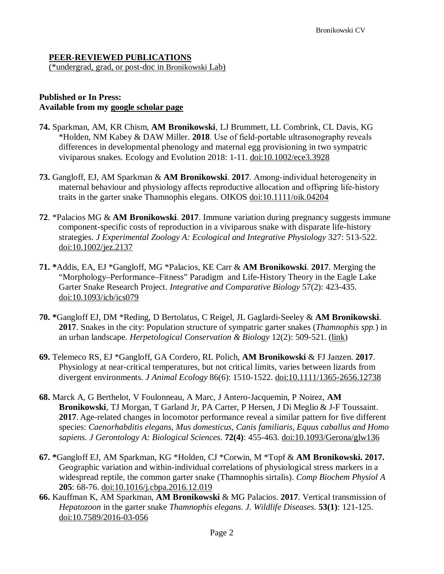#### **PEER-REVIEWED PUBLICATIONS**

(\*undergrad, grad, or post-doc in Bronikowski Lab)

#### **Published or In Press: Available from my [google scholar page](https://scholar.google.com/citations?user=CWgDE8QAAAAJ&hl=en&oi=ao)**

- **74.** Sparkman, AM, KR Chism, **AM Bronikowski**, LJ Brummett, LL Combrink, CL Davis, KG \*Holden, NM Kabey & DAW Miller. **2018**. Use of field‐portable ultrasonography reveals differences in developmental phenology and maternal egg provisioning in two sympatric viviparous snakes. Ecology and Evolution 2018: 1-11. [doi:10.1002/ece3.3928](https://onlinelibrary.wiley.com/doi/abs/10.1002/ece3.3928)
- **73.** Gangloff, EJ, AM Sparkman & **AM Bronikowski**. **2017**. Among‐individual heterogeneity in maternal behaviour and physiology affects reproductive allocation and offspring life‐history traits in the garter snake Thamnophis elegans. OIKOS [doi:10.1111/oik.04204](https://onlinelibrary.wiley.com/doi/full/10.1111/oik.04204)
- **72**. \*Palacios MG & **AM Bronikowski**. **2017**. Immune variation during pregnancy suggests immune component-specific costs of reproduction in a viviparous snake with disparate life-history strategies. *J Experimental Zoology A: Ecological and Integrative Physiology* 327: 513-522. [doi:10.1002/jez.2137](https://onlinelibrary.wiley.com/doi/full/10.1002/jez.2137)
- **71. \***Addis, EA, EJ \*Gangloff, MG \*Palacios, KE Carr & **AM Bronikowski**. **2017**. Merging the "Morphology–Performance–Fitness" Paradigm and Life-History Theory in the Eagle Lake Garter Snake Research Project. *Integrative and Comparative Biology* 57(2): 423-435. [doi:10.1093/icb/ics079](https://academic.oup.com/icb/article/57/2/423/4065454)
- **70. \***Gangloff EJ, DM \*Reding, D Bertolatus, C Reigel, JL Gaglardi-Seeley & **AM Bronikowski**. **2017**. Snakes in the city: Population structure of sympatric garter snakes (*Thamnophis spp.*) in an urban landscape. *Herpetological Conservation & Biology* 12(2): 509-521. [\(link\)](http://www.herpconbio.org/Volume_12/Issue_2/Gangloff_etal_2017.pdf)
- **69.** Telemeco RS, EJ \*Gangloff, GA Cordero, RL Polich, **AM Bronikowski** & FJ Janzen. **2017**. Physiology at near-critical temperatures, but not critical limits, varies between lizards from divergent environments. *J Animal Ecology* 86(6): 1510-1522. [doi:10.1111/1365-2656.12738](https://doi-org.proxy.lib.iastate.edu/10.1111/1365-2656.12738)
- **68.** Marck A, G Berthelot, V Foulonneau, A Marc, J Antero-Jacquemin, P Noirez, **AM Bronikowski**, TJ Morgan, T Garland Jr, PA Carter, P Hersen, J Di Meglio & J-F Toussaint. **2017**. Age-related changes in locomotor performance reveal a similar pattern for five different species: *Caenorhabditis elegans, Mus domesticus, Canis familiaris, Equus caballus and Homo sapiens*. *J Gerontology A: Biological Sciences*. **72(4)**: 455-463. [doi:10.1093/Gerona/glw136](https://academic.oup.com/biomedgerontology/article/72/4/455/2630042)
- **67. \***Gangloff EJ, AM Sparkman, KG \*Holden, CJ \*Corwin, M \*Topf & **AM Bronikowski. 2017.** Geographic variation and within-individual correlations of physiological stress markers in a widespread reptile, the common garter snake (Thamnophis sirtalis). *Comp Biochem Physiol A* **205**: 68-76. [doi:10.1016/j.cbpa.2016.12.019](https://doi.org/10.1016/j.cbpa.2016.12.019)
- **66.** Kauffman K, AM Sparkman, **AM Bronikowski** & MG Palacios. **2017**. Vertical transmission of *Hepatozoon* in the garter snake *Thamnophis elegans*. *J. Wildlife Diseases*. **53(1)**: 121-125. [doi:10.7589/2016-03-056](https://doi.org/10.7589/2016-03-056)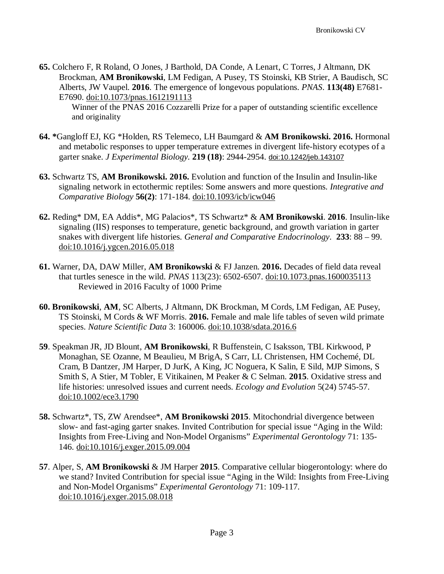**65.** Colchero F, R Roland, O Jones, J Barthold, DA Conde, A Lenart, C Torres, J Altmann, DK Brockman, **AM Bronikowski**, LM Fedigan, A Pusey, TS Stoinski, KB Strier, A Baudisch, SC Alberts, JW Vaupel. **2016**. The emergence of longevous populations. *PNAS*. **113(48)** E7681- E7690. [doi:10.1073/pnas.1612191113](https://doi.org/10.1073/pnas.1612191113)

Winner of the PNAS 2016 Cozzarelli Prize for a paper of outstanding scientific excellence and originality

- **64. \***Gangloff EJ, KG \*Holden, RS Telemeco, LH Baumgard & **AM Bronikowski. 2016.** Hormonal and metabolic responses to upper temperature extremes in divergent life-history ecotypes of a garter snake. *J Experimental Biology*. **219 (18)**: 2944-2954. [doi:10.1242/jeb.143107](http://jeb.biologists.org/content/219/18/2944)
- **63.** Schwartz TS, **AM Bronikowski. 2016.** Evolution and function of the Insulin and Insulin-like signaling network in ectothermic reptiles: Some answers and more questions. *Integrative and Comparative Biology* **56(2)**: 171-184. [doi:10.1093/icb/icw046](https://doi.org/10.1093/icb/icw046)
- **62.** Reding\* DM, EA Addis\*, MG Palacios\*, TS Schwartz\* & **AM Bronikowski**. **2016**. Insulin-like signaling (IIS) responses to temperature, genetic background, and growth variation in garter snakes with divergent life histories. *General and Comparative Endocrinology*. **233**: 88 – 99. [doi:10.1016/j.ygcen.2016.05.018](https://www.sciencedirect.com/science/article/pii/S0016648016301393)
- **61.** Warner, DA, DAW Miller, **AM Bronikowski** & FJ Janzen. **2016.** Decades of field data reveal that turtles senesce in the wild. *PNAS* 113(23): 6502-6507. [doi:10.1073.pnas.1600035113](http://www.pnas.org/content/113/23/6502) Reviewed in 2016 Faculty of 1000 Prime
- **60. Bronikowski**, **AM**, SC Alberts, J Altmann, DK Brockman, M Cords, LM Fedigan, AE Pusey, TS Stoinski, M Cords & WF Morris. **2016.** Female and male life tables of seven wild primate species. *Nature Scientific Data* 3: 160006. [doi:10.1038/sdata.2016.6](https://www.nature.com/articles/sdata20166)
- **59**. Speakman JR, JD Blount, **AM Bronikowski**, R Buffenstein, C Isaksson, TBL Kirkwood, P Monaghan, SE Ozanne, M Beaulieu, M BrigA, S Carr, LL Christensen, HM Cochemé, DL Cram, B Dantzer, JM Harper, D JurK, A King, JC Noguera, K Salin, E Sild, MJP Simons, S Smith S, A Stier, M Tobler, E Vitikainen, M Peaker & C Selman. **2015**. Oxidative stress and life histories: unresolved issues and current needs. *Ecology and Evolution* 5(24) 5745-57. [doi:10.1002/ece3.1790](https://doi.org/10.1002/ece3.1790)
- **58.** Schwartz\*, TS, ZW Arendsee\*, **AM Bronikowski 2015**. Mitochondrial divergence between slow- and fast-aging garter snakes. Invited Contribution for special issue "Aging in the Wild: Insights from Free-Living and Non-Model Organisms" *Experimental Gerontology* 71: 135- 146. [doi:10.1016/j.exger.2015.09.004](https://doi.org/10.1016/j.exger.2015.09.004)
- **57**. Alper, S, **AM Bronikowski** & JM Harper **2015**. Comparative cellular biogerontology: where do we stand? Invited Contribution for special issue "Aging in the Wild: Insights from Free-Living and Non-Model Organisms" *Experimental Gerontology* 71: 109-117. [doi:10.1016/j.exger.2015.08.018](https://doi.org/10.1016/j.exger.2015.08.018)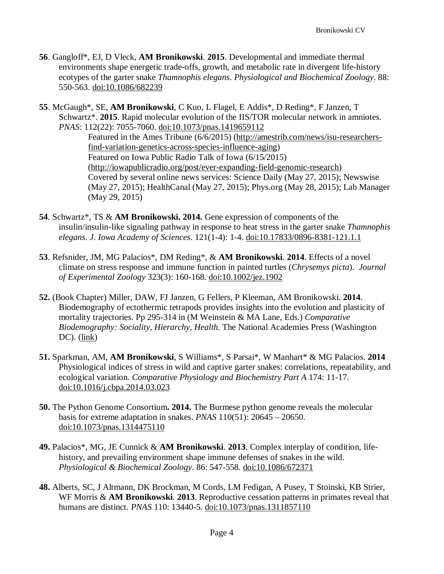- **56**. Gangloff\*, EJ, D Vleck, **AM Bronikowski**. **2015**. Developmental and immediate thermal environments shape energetic trade-offs, growth, and metabolic rate in divergent life-history ecotypes of the garter snake *Thamnophis elegans*. *Physiological and Biochemical Zoology*. 88: 550-563. [doi:10.1086/682239](https://www.journals.uchicago.edu/doi/pdfplus/10.1086/682239)
- **55**. McGaugh\*, SE, **AM Bronikowski**, C Kuo, L Flagel, E Addis\*, D Reding\*, F Janzen, T Schwartz\*. **2015**. Rapid molecular evolution of the IIS/TOR molecular network in amniotes. *PNAS*: 112(22): 7055-7060. [doi:10.1073/pnas.1419659112](https://doi.org/10.1073/pnas.1419659112)

Featured in the Ames Tribune (6/6/2015) [\(http://amestrib.com/news/isu-researchers](http://amestrib.com/news/isu-researchers-find-variation-genetics-across-species-influence-aging)[find-variation-genetics-across-species-influence-aging\)](http://amestrib.com/news/isu-researchers-find-variation-genetics-across-species-influence-aging) Featured on Iowa Public Radio Talk of Iowa (6/15/2015) [\(http://iowapublicradio.org/post/ever-expanding-field-genomic-research\)](http://iowapublicradio.org/post/ever-expanding-field-genomic-research) Covered by several online news services: Science Daily (May 27, 2015); Newswise (May 27, 2015); HealthCanal (May 27, 2015); Phys.org (May 28, 2015); Lab Manager (May 29, 2015)

- **54**. Schwartz\*, TS & **AM Bronikowski. 2014.** Gene expression of components of the insulin/insulin-like signaling pathway in response to heat stress in the garter snake *Thamnophis elegans*. *J. Iowa Academy of Sciences*. 121(1-4): 1-4. [doi:10.17833/0896-8381-121.1.1](https://doi.org/10.17833/0896-8381-121.1.1)
- **53**. Refsnider, JM, MG Palacios\*, DM Reding\*, & **AM Bronikowski**. **2014**. Effects of a novel climate on stress response and immune function in painted turtles (*Chrysemys picta*). *Journal of Experimental Zoology* 323(3): 160-168. [doi:10.1002/jez.1902](https://doi.org/10.1002/jez.1902)
- **52.** (Book Chapter) Miller, DAW, FJ Janzen, G Fellers, P Kleeman, AM Bronikowski. **2014**. Biodemography of ectothermic tetrapods provides insights into the evolution and plasticity of mortality trajectories. Pp 295-314 in (M Weinstein & MA Lane, Eds.) *Comparative Biodemography: Sociality, Hierarchy, Health.* The National Academies Press (Washington DC).  $(\underline{link})$
- **51.** Sparkman, AM, **AM Bronikowski**, S Williams\*, S Parsai\*, W Manhart\* & MG Palacios. **2014** Physiological indices of stress in wild and captive garter snakes: correlations, repeatability, and ecological variation. *Comparative Physiology and Biochemistry Part A* 174: 11-17. [doi:10.1016/j.cbpa.2014.03.023](https://doi.org/10.1016/j.cbpa.2014.03.023)
- **50.** The Python Genome Consortium**. 2014.** The Burmese python genome reveals the molecular basis for extreme adaptation in snakes. *PNAS* 110(51): 20645 – 20650. [doi:10.1073/pnas.1314475110](https://doi.org/10.1073/pnas.1314475110)
- **49.** Palacios\*, MG, JE Cunnick & **AM Bronikowski**. **2013**. Complex interplay of condition, lifehistory, and prevailing environment shape immune defenses of snakes in the wild. *Physiological & Biochemical Zoology*. 86: 547-558. [doi:10.1086/672371](https://www.journals.uchicago.edu/doi/full/10.1086/672371)
- **48.** Alberts, SC, J Altmann, DK Brockman, M Cords, LM Fedigan, A Pusey, T Stoinski, KB Strier, WF Morris & **AM Bronikowski**. **2013**. Reproductive cessation patterns in primates reveal that humans are distinct. *PNAS* 110: 13440-5. [doi:10.1073/pnas.1311857110](https://doi.org/10.1073/pnas.1311857110)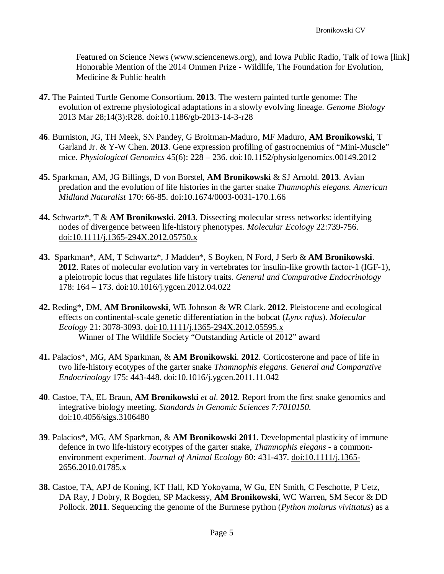Featured on Science News [\(www.sciencenews.org\)](http://www.sciencenews.org/), and Iowa Public Radio, Talk of Iowa [\[link\]](http://iowapublicradio.org/post/menopause) Honorable Mention of the 2014 Ommen Prize - Wildlife, The Foundation for Evolution, Medicine & Public health

- **47.** The Painted Turtle Genome Consortium. **2013**. The western painted turtle genome: The evolution of extreme physiological adaptations in a slowly evolving lineage. *Genome Biology* 2013 Mar 28;14(3):R28. [doi:10.1186/gb-2013-14-3-r28](https://genomebiology.biomedcentral.com/articles/10.1186/gb-2013-14-3-r28)
- **46**. Burniston, JG, TH Meek, SN Pandey, G Broitman-Maduro, MF Maduro, **AM Bronikowski**, T Garland Jr. & Y-W Chen. **2013**. Gene expression profiling of gastrocnemius of "Mini-Muscle" mice. *Physiological Genomics* 45(6): 228 – 236. [doi:10.1152/physiolgenomics.00149.2012](https://doi.org/10.1152/physiolgenomics.00149.2012)
- **45.** Sparkman, AM, JG Billings, D von Borstel, **AM Bronikowski** & SJ Arnold. **2013**. Avian predation and the evolution of life histories in the garter snake *Thamnophis elegans. American Midland Naturalist* 170: 66-85. [doi:10.1674/0003-0031-170.1.66](http://www.bioone.org/doi/full/10.1674/0003-0031-170.1.66)
- **44.** Schwartz\*, T & **AM Bronikowski**. **2013**. Dissecting molecular stress networks: identifying nodes of divergence between life-history phenotypes. *Molecular Ecology* 22:739-756. [doi:10.1111/j.1365-294X.2012.05750.x](https://doi.org/10.1111/j.1365-294X.2012.05750.x)
- **43.** Sparkman\*, AM, T Schwartz\*, J Madden\*, S Boyken, N Ford, J Serb & **AM Bronikowski**. **2012**. Rates of molecular evolution vary in vertebrates for insulin-like growth factor-1 (IGF-1), a pleiotropic locus that regulates life history traits. *General and Comparative Endocrinology* 178: 164 – 173. [doi:10.1016/j.ygcen.2012.04.022](https://doi.org/10.1016/j.ygcen.2012.04.022)
- **42.** Reding\*, DM, **AM Bronikowski**, WE Johnson & WR Clark. **2012**. Pleistocene and ecological effects on continental-scale genetic differentiation in the bobcat (*Lynx rufus*). *Molecular Ecology* 21: 3078-3093. [doi:10.1111/j.1365-294X.2012.05595.x](https://doi.org/10.1111/j.1365-294X.2012.05595.x) Winner of The Wildlife Society "Outstanding Article of 2012" award
- **41.** Palacios\*, MG, AM Sparkman, & **AM Bronikowski**. **2012**. Corticosterone and pace of life in two life-history ecotypes of the garter snake *Thamnophis elegans*. *General and Comparative Endocrinology* 175: 443-448. [doi:10.1016/j.ygcen.2011.11.042](https://doi.org/10.1016/j.ygcen.2011.11.042)
- **40**. Castoe, TA, EL Braun, **AM Bronikowski** *et al*. **2012**. Report from the first snake genomics and integrative biology meeting. *Standards in Genomic Sciences 7:7010150.*  [doi:10.4056/sigs.3106480](https://doi.org/10.4056/sigs.3106480)
- **39**. Palacios\*, MG, AM Sparkman, & **AM Bronikowski 2011**. Developmental plasticity of immune defence in two life-history ecotypes of the garter snake, *Thamnophis elegans* - a commonenvironment experiment. *Journal of Animal Ecology* 80: 431-437. [doi:10.1111/j.1365-](https://doi.org/10.1111/j.1365-2656.2010.01785.x) [2656.2010.01785.x](https://doi.org/10.1111/j.1365-2656.2010.01785.x)
- **38.** Castoe, TA, APJ de Koning, KT Hall, KD Yokoyama, W Gu, EN Smith, C Feschotte, P Uetz, DA Ray, J Dobry, R Bogden, SP Mackessy, **AM Bronikowski**, WC Warren, SM Secor & DD Pollock. **2011**. Sequencing the genome of the Burmese python (*Python molurus vivittatus*) as a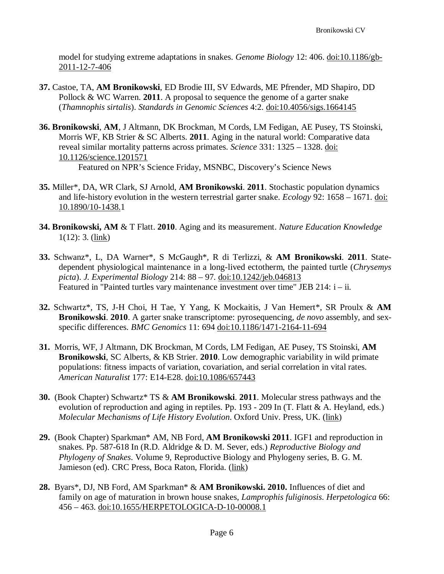model for studying extreme adaptations in snakes. *Genome Biology* 12: 406. [doi:10.1186/gb-](https://doi.org/10.1186/gb-2011-12-7-406)[2011-12-7-406](https://doi.org/10.1186/gb-2011-12-7-406)

- **37.** Castoe, TA, **AM Bronikowski**, ED Brodie III, SV Edwards, ME Pfrender, MD Shapiro, DD Pollock & WC Warren. **2011**. A proposal to sequence the genome of a garter snake (*Thamnophis sirtalis*). *Standards in Genomic Sciences* 4:2. [doi:10.4056/sigs.1664145](http://doi.org/10.4056/sigs.1664145)
- **36. Bronikowski**, **AM**, J Altmann, DK Brockman, M Cords, LM Fedigan, AE Pusey, TS Stoinski, Morris WF, KB Strier & SC Alberts. **2011**. Aging in the natural world: Comparative data reveal similar mortality patterns across primates. *Science* 331: 1325 – 1328. [doi:](http://science.sciencemag.org/content/331/6022/1325) [10.1126/science.1201571](http://science.sciencemag.org/content/331/6022/1325) Featured on NPR's Science Friday, MSNBC, Discovery's Science News
- **35.** Miller\*, DA, WR Clark, SJ Arnold, **AM Bronikowski**. **2011**. Stochastic population dynamics and life-history evolution in the western terrestrial garter snake. *Ecology* 92: 1658 – 1671. [doi:](https://doi.org/10.1890/10-1438.1) [10.1890/10-1438.1](https://doi.org/10.1890/10-1438.1)
- **34. Bronikowski, AM** & T Flatt. **2010**. Aging and its measurement. *Nature Education Knowledge* 1(12): 3. [\(link\)](https://www.nature.com/scitable/knowledge/library/aging-and-its-demographic-measurement-16821152)
- **33.** Schwanz\*, L, DA Warner\*, S McGaugh\*, R di Terlizzi, & **AM Bronikowski**. **2011**. Statedependent physiological maintenance in a long-lived ectotherm, the painted turtle (*Chrysemys picta*). *J. Experimental Biology* 214: 88 – 97. [doi:10.1242/jeb.046813](http://jeb.biologists.org/content/214/1/88.full) Featured in "Painted turtles vary maintenance investment over time" JEB 214: i – ii.
- **32.** Schwartz\*, TS, J-H Choi, H Tae, Y Yang, K Mockaitis, J Van Hemert\*, SR Proulx & **AM Bronikowski**. **2010**. A garter snake transcriptome: pyrosequencing, *de novo* assembly, and sexspecific differences. *BMC Genomics* 11: 694 [doi:10.1186/1471-2164-11-694](https://doi.org/10.1186/1471-2164-11-694)
- **31.** Morris, WF, J Altmann, DK Brockman, M Cords, LM Fedigan, AE Pusey, TS Stoinski, **AM Bronikowski**, SC Alberts, & KB Strier. **2010**. Low demographic variability in wild primate populations: fitness impacts of variation, covariation, and serial correlation in vital rates. *American Naturalist* 177: E14-E28. [doi:10.1086/657443](https://www.journals.uchicago.edu/doi/full/10.1086/657443)
- **30.** (Book Chapter) Schwartz\* TS & **AM Bronikowski**. **2011**. Molecular stress pathways and the evolution of reproduction and aging in reptiles. Pp. 193 - 209 In (T. Flatt & A. Heyland, eds.) *Molecular Mechanisms of Life History Evolution*. Oxford Univ. Press, UK. [\(link\)](https://www.researchgate.net/publication/224022566_Molecular_stress_pathways_and_the_evolution_of_life_histories_in_reptiles)
- **29.** (Book Chapter) Sparkman\* AM, NB Ford, **AM Bronikowski 2011**. IGF1 and reproduction in snakes. Pp. 587-618 In (R.D. Aldridge & D. M. Sever, eds.) *Reproductive Biology and Phylogeny of Snakes*. Volume 9, Reproductive Biology and Phylogeny series, B. G. M. Jamieson (ed). CRC Press, Boca Raton, Florida. [\(link\)](https://www.taylorfrancis.com/books/e/9781439858332/chapters/10.1201%2Fb10879-15)
- **28.** Byars\*, DJ, NB Ford, AM Sparkman\* & **AM Bronikowski. 2010.** Influences of diet and family on age of maturation in brown house snakes, *Lamprophis fuliginosis*. *Herpetologica* 66: 456 – 463. [doi:10.1655/HERPETOLOGICA-D-10-00008.1](https://doi.org/10.1655/HERPETOLOGICA-D-10-00008.1)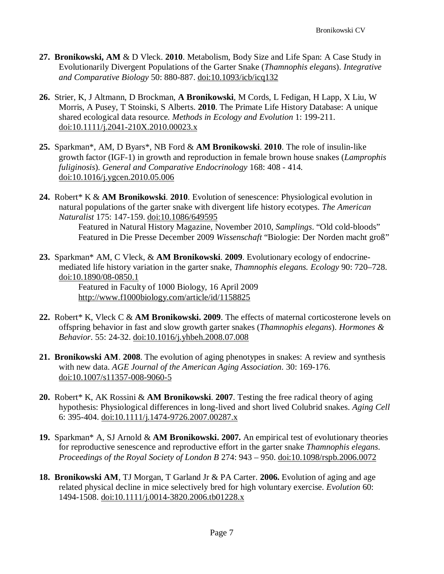- **27. Bronikowski, AM** & D Vleck. **2010**. Metabolism, Body Size and Life Span: A Case Study in Evolutionarily Divergent Populations of the Garter Snake (*Thamnophis elegans*). *Integrative and Comparative Biology* 50: 880-887. [doi:10.1093/icb/icq132](https://doi.org/10.1093/icb/icq132)
- **26.** Strier, K, J Altmann, D Brockman, **A Bronikowski**, M Cords, L Fedigan, H Lapp, X Liu, W Morris, A Pusey, T Stoinski, S Alberts. **2010**. The Primate Life History Database: A unique shared ecological data resource. *Methods in Ecology and Evolution* 1: 199-211. [doi:10.1111/j.2041-210X.2010.00023.x](https://doi.org/10.1111/j.2041-210X.2010.00023.x)
- **25.** Sparkman\*, AM, D Byars\*, NB Ford & **AM Bronikowski**. **2010**. The role of insulin-like growth factor (IGF-1) in growth and reproduction in female brown house snakes (*Lamprophis fuliginosis*). *General and Comparative Endocrinology* 168: 408 - 414. [doi:10.1016/j.ygcen.2010.05.006](https://doi.org/10.1016/j.ygcen.2010.05.006)
- **24.** Robert\* K & **AM Bronikowski**. **2010**. Evolution of senescence: Physiological evolution in natural populations of the garter snake with divergent life history ecotypes. *The American Naturalist* 175: 147-159. [doi:10.1086/649595](https://www.journals.uchicago.edu/doi/full/10.1086/649595)

Featured in Natural History Magazine, November 2010, *Samplings*. "Old cold-bloods" Featured in Die Presse December 2009 *Wissenschaft* "Biologie: Der Norden macht groß"

**23.** Sparkman\* AM, C Vleck, & **AM Bronikowski**. **2009**. Evolutionary ecology of endocrinemediated life history variation in the garter snake, *Thamnophis elegans. Ecology* 90: 720–728. [doi:10.1890/08-0850.1](https://doi.org/10.1890/08-0850.1)

Featured in Faculty of 1000 Biology, 16 April 2009 <http://www.f1000biology.com/article/id/1158825>

- **22.** Robert\* K, Vleck C & **AM Bronikowski. 2009**. The effects of maternal corticosterone levels on offspring behavior in fast and slow growth garter snakes (*Thamnophis elegans*). *Hormones & Behavior*. 55: 24-32. [doi:10.1016/j.yhbeh.2008.07.008](https://doi.org/10.1016/j.yhbeh.2008.07.008)
- **21. Bronikowski AM**. **2008**. The evolution of aging phenotypes in snakes: A review and synthesis with new data. *AGE Journal of the American Aging Association*. 30: 169-176. [doi:10.1007/s11357-008-9060-5](https://link.springer.com/article/10.1007/s11357-008-9060-5)
- **20.** Robert\* K, AK Rossini & **AM Bronikowski**. **2007**. Testing the free radical theory of aging hypothesis: Physiological differences in long-lived and short lived Colubrid snakes. *Aging Cell* 6: 395-404. [doi:10.1111/j.1474-9726.2007.00287.x](https://doi.org/10.1111/j.1474-9726.2007.00287.x)
- **19.** Sparkman\* A, SJ Arnold & **AM Bronikowski. 2007.** An empirical test of evolutionary theories for reproductive senescence and reproductive effort in the garter snake *Thamnophis elegans*. *Proceedings of the Royal Society of London B* 274: 943 – 950. [doi:10.1098/rspb.2006.0072](http://rspb.royalsocietypublishing.org/content/274/1612/943)
- **18. Bronikowski AM**, TJ Morgan, T Garland Jr & PA Carter. **2006.** Evolution of aging and age related physical decline in mice selectively bred for high voluntary exercise. *Evolution* 60: 1494-1508. [doi:10.1111/j.0014-3820.2006.tb01228.x](https://doi.org/10.1111/j.0014-3820.2006.tb01228.x)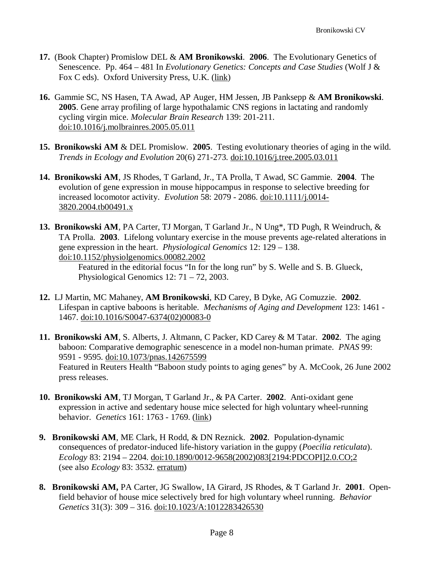- **17.** (Book Chapter) Promislow DEL & **AM Bronikowski**. **2006**. The Evolutionary Genetics of Senescence. Pp. 464 – 481 In *Evolutionary Genetics: Concepts and Case Studies* (Wolf J & Fox C eds). Oxford University Press, U.K. [\(link\)](https://www.researchgate.net/publication/324069074_The_Evolutionary_Genetics_of_Senescence)
- **16.** Gammie SC, NS Hasen, TA Awad, AP Auger, HM Jessen, JB Panksepp & **AM Bronikowski**. **2005**. Gene array profiling of large hypothalamic CNS regions in lactating and randomly cycling virgin mice. *Molecular Brain Research* 139: 201-211. [doi:10.1016/j.molbrainres.2005.05.011](https://doi.org/10.1016/j.molbrainres.2005.05.011)
- **15. Bronikowski AM** & DEL Promislow. **2005**. Testing evolutionary theories of aging in the wild. *Trends in Ecology and Evolution* 20(6) 271-273. [doi:10.1016/j.tree.2005.03.011](https://doi.org/10.1016/j.tree.2005.03.011)
- **14. Bronikowski AM**, JS Rhodes, T Garland, Jr., TA Prolla, T Awad, SC Gammie. **2004**. The evolution of gene expression in mouse hippocampus in response to selective breeding for increased locomotor activity. *Evolution* 58: 2079 - 2086. [doi:10.1111/j.0014-](https://doi.org/10.1111/j.0014-3820.2004.tb00491.x) [3820.2004.tb00491.x](https://doi.org/10.1111/j.0014-3820.2004.tb00491.x)
- **13. Bronikowski AM**, PA Carter, TJ Morgan, T Garland Jr., N Ung\*, TD Pugh, R Weindruch, & TA Prolla. **2003**. Lifelong voluntary exercise in the mouse prevents age-related alterations in gene expression in the heart. *Physiological Genomics* 12: 129 – 138. [doi:10.1152/physiolgenomics.00082.2002](https://doi.org/10.1152/physiolgenomics.00082.2002)

Featured in the editorial focus "In for the long run" by S. Welle and S. B. Glueck, Physiological Genomics 12: 71 – 72, 2003.

- **12.** LJ Martin, MC Mahaney, **AM Bronikowski**, KD Carey, B Dyke, AG Comuzzie. **2002**. Lifespan in captive baboons is heritable. *Mechanisms of Aging and Development* 123: 1461 - 1467. [doi:10.1016/S0047-6374\(02\)00083-0](https://doi.org/10.1016/S0047-6374(02)00083-0)
- **11. Bronikowski AM**, S. Alberts, J. Altmann, C Packer, KD Carey & M Tatar. **2002**. The aging baboon: Comparative demographic senescence in a model non-human primate. *PNAS* 99: 9591 - 9595. [doi:10.1073/pnas.142675599](https://doi.org/10.1073/pnas.142675599) Featured in Reuters Health "Baboon study points to aging genes" by A. McCook, 26 June 2002 press releases.
- **10. Bronikowski AM**, TJ Morgan, T Garland Jr., & PA Carter. **2002**. Anti-oxidant gene expression in active and sedentary house mice selected for high voluntary wheel-running behavior. *Genetics* 161: 1763 - 1769. [\(link\)](http://www.genetics.org/content/161/4/1763.full)
- **9. Bronikowski AM**, ME Clark, H Rodd, & DN Reznick. **2002**. Population-dynamic consequences of predator-induced life-history variation in the guppy (*Poecilia reticulata*). *Ecology* 83: 2194 – 2204. [doi:10.1890/0012-9658\(2002\)083\[2194:PDCOPI\]2.0.CO;2](https://doi.org/10.1890/0012-9658(2002)083%5b2194:PDCOPI%5d2.0.CO;2) (see also *Ecology* 83: 3532. [erratum\)](https://doi.org/10.1890/0012-9658(2002)083%5b3532:E%5d2.0.CO;2)
- **8. Bronikowski AM,** PA Carter, JG Swallow, IA Girard, JS Rhodes, & T Garland Jr. **2001**. Openfield behavior of house mice selectively bred for high voluntary wheel running. *Behavior Genetics* 31(3): 309 – 316. [doi:10.1023/A:1012283426530](https://doi.org/10.1023/A:1012283426530)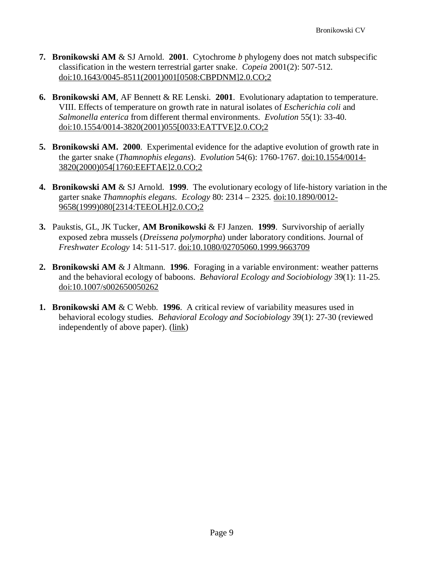- **7. Bronikowski AM** & SJ Arnold. **2001**. Cytochrome *b* phylogeny does not match subspecific classification in the western terrestrial garter snake. *Copeia* 2001(2): 507-512. [doi:10.1643/0045-8511\(2001\)001\[0508:CBPDNM\]2.0.CO;2](https://doi.org/10.1643/0045-8511(2001)001%5b0508:CBPDNM%5d2.0.CO;2)
- **6. Bronikowski AM**, AF Bennett & RE Lenski. **2001**. Evolutionary adaptation to temperature. VIII. Effects of temperature on growth rate in natural isolates of *Escherichia coli* and *Salmonella enterica* from different thermal environments. *Evolution* 55(1): 33-40. [doi:10.1554/0014-3820\(2001\)055\[0033:EATTVE\]2.0.CO;2](https://doi.org/10.1554/0014-3820(2001)055%5b0033:EATTVE%5d2.0.CO;2)
- **5. Bronikowski AM. 2000**. Experimental evidence for the adaptive evolution of growth rate in the garter snake (*Thamnophis elegans*). *Evolution* 54(6): 1760-1767. [doi:10.1554/0014-](https://doi.org/10.1554/0014-3820(2000)054%5b1760:EEFTAE%5d2.0.CO;2) [3820\(2000\)054\[1760:EEFTAE\]2.0.CO;2](https://doi.org/10.1554/0014-3820(2000)054%5b1760:EEFTAE%5d2.0.CO;2)
- **4. Bronikowski AM** & SJ Arnold. **1999**. The evolutionary ecology of life-history variation in the garter snake *Thamnophis elegans*. *Ecology* 80: 2314 – 2325. [doi:10.1890/0012-](https://doi.org/10.1890/0012-9658(1999)080%5b2314:TEEOLH%5d2.0.CO;2) [9658\(1999\)080\[2314:TEEOLH\]2.0.CO;2](https://doi.org/10.1890/0012-9658(1999)080%5b2314:TEEOLH%5d2.0.CO;2)
- **3.** Paukstis, GL, JK Tucker, **AM Bronikowski** & FJ Janzen. **1999**. Survivorship of aerially exposed zebra mussels (*Dreissena polymorpha*) under laboratory conditions. Journal of *Freshwater Ecology* 14: 511-517. [doi:10.1080/02705060.1999.9663709](https://doi.org/10.1080/02705060.1999.9663709)
- **2. Bronikowski AM** & J Altmann. **1996**. Foraging in a variable environment: weather patterns and the behavioral ecology of baboons. *Behavioral Ecology and Sociobiology* 39(1): 11-25. [doi:10.1007/s002650050262](https://doi.org/10.1007/s002650050262)
- **1. Bronikowski AM** & C Webb. **1996**. A critical review of variability measures used in behavioral ecology studies. *Behavioral Ecology and Sociobiology* 39(1): 27-30 (reviewed independently of above paper). [\(link\)](https://www.jstor.org/stable/4601230?seq=1#page_scan_tab_contents)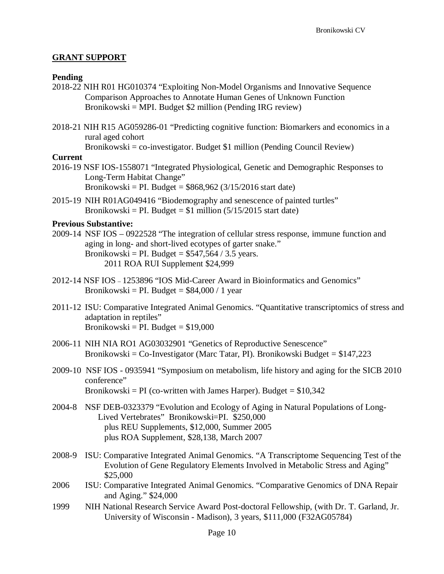### **GRANT SUPPORT**

#### **Pending**

- 2018-22 NIH R01 HG010374 "Exploiting Non-Model Organisms and Innovative Sequence Comparison Approaches to Annotate Human Genes of Unknown Function Bronikowski = MPI. Budget \$2 million (Pending IRG review)
- 2018-21 NIH R15 AG059286-01 "Predicting cognitive function: Biomarkers and economics in a rural aged cohort

Bronikowski = co-investigator. Budget \$1 million (Pending Council Review)

#### **Current**

2016-19 NSF IOS-1558071 "Integrated Physiological, Genetic and Demographic Responses to Long-Term Habitat Change" Bronikowski = PI. Budget =  $$868,962$  (3/15/2016 start date)

2015-19 NIH R01AG049416 "Biodemography and senescence of painted turtles" Bronikowski = PI. Budget =  $$1$  million (5/15/2015 start date)

#### **Previous Substantive:**

- 2009-14 NSF IOS 0922528 "The integration of cellular stress response, immune function and aging in long- and short-lived ecotypes of garter snake." Bronikowski = PI. Budget =  $$547,564 / 3.5$  years. 2011 ROA RUI Supplement \$24,999
- 2012-14 NSF IOS 1253896 "IOS Mid-Career Award in Bioinformatics and Genomics" Bronikowski = PI. Budget =  $$84,000 / 1$  year
- 2011-12 ISU: Comparative Integrated Animal Genomics. "Quantitative transcriptomics of stress and adaptation in reptiles" Bronikowski = PI. Budget =  $$19,000$
- 2006-11 NIH NIA RO1 AG03032901 "Genetics of Reproductive Senescence" Bronikowski =  $Co$ -Investigator (Marc Tatar, PI). Bronikowski Budget =  $$147,223$
- 2009-10 NSF IOS 0935941 "Symposium on metabolism, life history and aging for the SICB 2010 conference" Bronikowski = PI (co-written with James Harper). Budget =  $$10,342$
- 2004-8 NSF DEB-0323379 "Evolution and Ecology of Aging in Natural Populations of Long-Lived Vertebrates" Bronikowski=PI. \$250,000 plus REU Supplements, \$12,000, Summer 2005 plus ROA Supplement, \$28,138, March 2007
- 2008-9 ISU: Comparative Integrated Animal Genomics. "A Transcriptome Sequencing Test of the Evolution of Gene Regulatory Elements Involved in Metabolic Stress and Aging" \$25,000
- 2006 ISU: Comparative Integrated Animal Genomics. "Comparative Genomics of DNA Repair and Aging." \$24,000
- 1999 NIH National Research Service Award Post-doctoral Fellowship, (with Dr. T. Garland, Jr. University of Wisconsin - Madison), 3 years, \$111,000 (F32AG05784)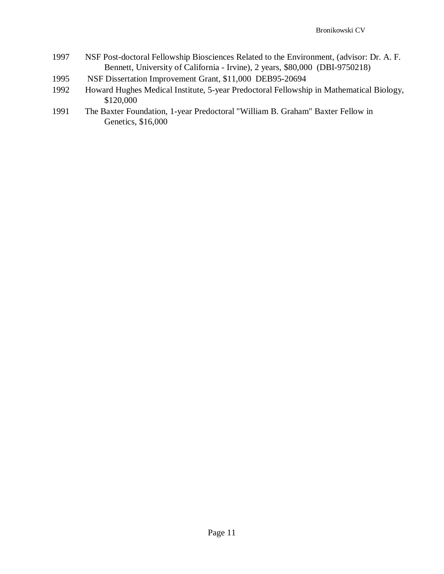- 1997 NSF Post-doctoral Fellowship Biosciences Related to the Environment, (advisor: Dr. A. F. Bennett, University of California - Irvine), 2 years, \$80,000 (DBI-9750218)
- 1995 NSF Dissertation Improvement Grant, \$11,000 DEB95-20694
- 1992 Howard Hughes Medical Institute, 5-year Predoctoral Fellowship in Mathematical Biology, \$120,000
- 1991 The Baxter Foundation, 1-year Predoctoral "William B. Graham" Baxter Fellow in Genetics, \$16,000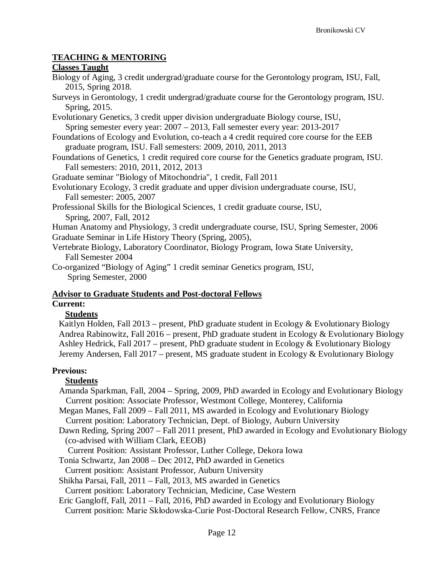# **TEACHING & MENTORING**

#### **Classes Taught**

- Biology of Aging, 3 credit undergrad/graduate course for the Gerontology program, ISU, Fall, 2015, Spring 2018.
- Surveys in Gerontology, 1 credit undergrad/graduate course for the Gerontology program, ISU. Spring, 2015.
- Evolutionary Genetics, 3 credit upper division undergraduate Biology course, ISU, Spring semester every year: 2007 – 2013, Fall semester every year: 2013-2017
- Foundations of Ecology and Evolution, co-teach a 4 credit required core course for the EEB graduate program, ISU. Fall semesters: 2009, 2010, 2011, 2013
- Foundations of Genetics, 1 credit required core course for the Genetics graduate program, ISU. Fall semesters: 2010, 2011, 2012, 2013
- Graduate seminar "Biology of Mitochondria", 1 credit, Fall 2011
- Evolutionary Ecology, 3 credit graduate and upper division undergraduate course, ISU, Fall semester: 2005, 2007
- Professional Skills for the Biological Sciences, 1 credit graduate course, ISU, Spring, 2007, Fall, 2012
- Human Anatomy and Physiology, 3 credit undergraduate course, ISU, Spring Semester, 2006
- Graduate Seminar in Life History Theory (Spring, 2005),
- Vertebrate Biology, Laboratory Coordinator, Biology Program, Iowa State University, Fall Semester 2004
- Co-organized "Biology of Aging" 1 credit seminar Genetics program, ISU, Spring Semester, 2000

#### **Advisor to Graduate Students and Post-doctoral Fellows Current:**

# **Students**

Kaitlyn Holden, Fall 2013 – present, PhD graduate student in Ecology & Evolutionary Biology Andrea Rabinowitz, Fall 2016 – present, PhD graduate student in Ecology & Evolutionary Biology Ashley Hedrick, Fall 2017 – present, PhD graduate student in Ecology & Evolutionary Biology Jeremy Andersen, Fall 2017 – present, MS graduate student in Ecology & Evolutionary Biology

# **Previous:**

# **Students**

Amanda Sparkman, Fall, 2004 – Spring, 2009, PhD awarded in Ecology and Evolutionary Biology Current position: Associate Professor, Westmont College, Monterey, California Megan Manes, Fall 2009 – Fall 2011, MS awarded in Ecology and Evolutionary Biology

Current position: Laboratory Technician, Dept. of Biology, Auburn University

Dawn Reding, Spring 2007 – Fall 2011 present, PhD awarded in Ecology and Evolutionary Biology (co-advised with William Clark, EEOB)

Current Position: Assistant Professor, Luther College, Dekora Iowa

Tonia Schwartz, Jan 2008 – Dec 2012, PhD awarded in Genetics

- Current position: Assistant Professor, Auburn University
- Shikha Parsai, Fall, 2011 Fall, 2013, MS awarded in Genetics

Current position: Laboratory Technician, Medicine, Case Western

Eric Gangloff, Fall, 2011 – Fall, 2016, PhD awarded in Ecology and Evolutionary Biology Current position: Marie Skłodowska-Curie Post-Doctoral Research Fellow, CNRS, France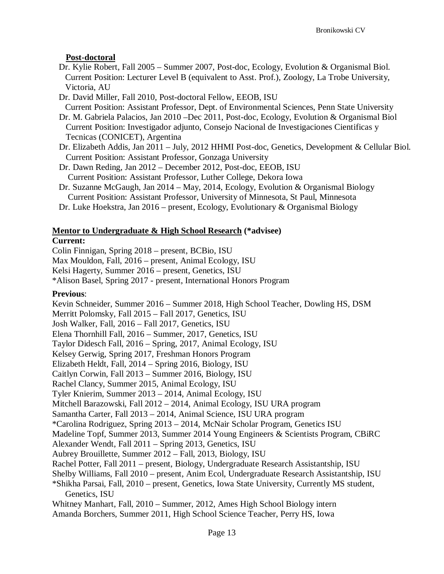# **Post-doctoral**

- Dr. Kylie Robert, Fall 2005 Summer 2007, Post-doc, Ecology, Evolution & Organismal Biol. Current Position: Lecturer Level B (equivalent to Asst. Prof.), Zoology, La Trobe University, Victoria, AU
- Dr. David Miller, Fall 2010, Post-doctoral Fellow, EEOB, ISU Current Position: Assistant Professor, Dept. of Environmental Sciences, Penn State University
- Dr. M. Gabriela Palacios, Jan 2010 –Dec 2011, Post-doc, Ecology, Evolution & Organismal Biol Current Position: Investigador adjunto, Consejo Nacional de Investigaciones Cientificas y Tecnicas (CONICET), Argentina
- Dr. Elizabeth Addis, Jan 2011 July, 2012 HHMI Post-doc, Genetics, Development & Cellular Biol. Current Position: Assistant Professor, Gonzaga University
- Dr. Dawn Reding, Jan 2012 December 2012, Post-doc, EEOB, ISU Current Position: Assistant Professor, Luther College, Dekora Iowa
- Dr. Suzanne McGaugh, Jan 2014 May, 2014, Ecology, Evolution & Organismal Biology Current Position: Assistant Professor, University of Minnesota, St Paul, Minnesota
- Dr. Luke Hoekstra, Jan 2016 present, Ecology, Evolutionary & Organismal Biology

# **Mentor to Undergraduate & High School Research (\*advisee)**

# **Current:**

Colin Finnigan, Spring 2018 – present, BCBio, ISU Max Mouldon, Fall, 2016 – present, Animal Ecology, ISU Kelsi Hagerty, Summer 2016 – present, Genetics, ISU \*Alison Basel, Spring 2017 - present, International Honors Program

# **Previous**:

Kevin Schneider, Summer 2016 – Summer 2018, High School Teacher, Dowling HS, DSM Merritt Polomsky, Fall 2015 – Fall 2017, Genetics, ISU Josh Walker, Fall, 2016 – Fall 2017, Genetics, ISU Elena Thornhill Fall, 2016 – Summer, 2017, Genetics, ISU Taylor Didesch Fall, 2016 – Spring, 2017, Animal Ecology, ISU Kelsey Gerwig, Spring 2017, Freshman Honors Program Elizabeth Heldt, Fall, 2014 – Spring 2016, Biology, ISU Caitlyn Corwin, Fall 2013 – Summer 2016, Biology, ISU Rachel Clancy, Summer 2015, Animal Ecology, ISU Tyler Knierim, Summer 2013 – 2014, Animal Ecology, ISU Mitchell Barazowski, Fall 2012 – 2014, Animal Ecology, ISU URA program Samantha Carter, Fall 2013 – 2014, Animal Science, ISU URA program \*Carolina Rodriguez, Spring 2013 – 2014, McNair Scholar Program, Genetics ISU Madeline Topf, Summer 2013, Summer 2014 Young Engineers & Scientists Program, CBiRC Alexander Wendt, Fall 2011 – Spring 2013, Genetics, ISU Aubrey Brouillette, Summer 2012 – Fall, 2013, Biology, ISU Rachel Potter, Fall 2011 – present, Biology, Undergraduate Research Assistantship, ISU Shelby Williams, Fall 2010 – present, Anim Ecol, Undergraduate Research Assistantship, ISU \*Shikha Parsai, Fall, 2010 – present, Genetics, Iowa State University, Currently MS student, Genetics, ISU Whitney Manhart, Fall, 2010 – Summer, 2012, Ames High School Biology intern Amanda Borchers, Summer 2011, High School Science Teacher, Perry HS, Iowa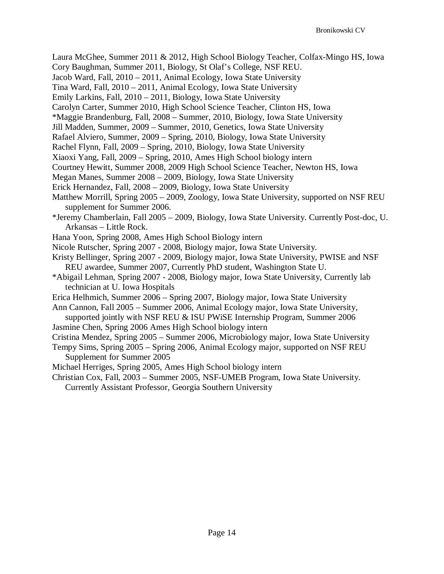Laura McGhee, Summer 2011 & 2012, High School Biology Teacher, Colfax-Mingo HS, Iowa

Cory Baughman, Summer 2011, Biology, St Olaf's College, NSF REU.

Jacob Ward, Fall, 2010 – 2011, Animal Ecology, Iowa State University

Tina Ward, Fall, 2010 – 2011, Animal Ecology, Iowa State University

Emily Larkins, Fall, 2010 – 2011, Biology, Iowa State University

Carolyn Carter, Summer 2010, High School Science Teacher, Clinton HS, Iowa

\*Maggie Brandenburg, Fall, 2008 – Summer, 2010, Biology, Iowa State University

Jill Madden, Summer, 2009 – Summer, 2010, Genetics, Iowa State University

Rafael Alviero, Summer, 2009 – Spring, 2010, Biology, Iowa State University

Rachel Flynn, Fall, 2009 – Spring, 2010, Biology, Iowa State University

Xiaoxi Yang, Fall, 2009 – Spring, 2010, Ames High School biology intern

Courtney Hewitt, Summer 2008, 2009 High School Science Teacher, Newton HS, Iowa

Megan Manes, Summer 2008 – 2009, Biology, Iowa State University

Erick Hernandez, Fall, 2008 – 2009, Biology, Iowa State University

- Matthew Morrill, Spring 2005 2009, Zoology, Iowa State University, supported on NSF REU supplement for Summer 2006.
- \*Jeremy Chamberlain, Fall 2005 2009, Biology, Iowa State University. Currently Post-doc, U. Arkansas – Little Rock.
- Hana Yoon, Spring 2008, Ames High School Biology intern
- Nicole Rutscher, Spring 2007 2008, Biology major, Iowa State University.

Kristy Bellinger, Spring 2007 - 2009, Biology major, Iowa State University, PWISE and NSF REU awardee, Summer 2007, Currently PhD student, Washington State U.

- \*Abigail Lehman, Spring 2007 2008, Biology major, Iowa State University, Currently lab technician at U. Iowa Hospitals
- Erica Helhmich, Summer 2006 Spring 2007, Biology major, Iowa State University
- Ann Cannon, Fall 2005 Summer 2006, Animal Ecology major, Iowa State University, supported jointly with NSF REU & ISU PWiSE Internship Program, Summer 2006
- Jasmine Chen, Spring 2006 Ames High School biology intern

Cristina Mendez, Spring 2005 – Summer 2006, Microbiology major, Iowa State University

Tempy Sims, Spring 2005 – Spring 2006, Animal Ecology major, supported on NSF REU Supplement for Summer 2005

Michael Herriges, Spring 2005, Ames High School biology intern

Christian Cox, Fall, 2003 – Summer 2005, NSF-UMEB Program, Iowa State University. Currently Assistant Professor, Georgia Southern University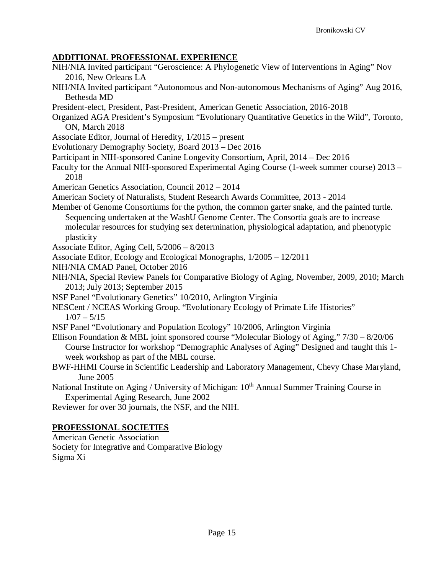# **ADDITIONAL PROFESSIONAL EXPERIENCE**

- NIH/NIA Invited participant "Geroscience: A Phylogenetic View of Interventions in Aging" Nov 2016, New Orleans LA
- NIH/NIA Invited participant "Autonomous and Non-autonomous Mechanisms of Aging" Aug 2016, Bethesda MD
- President-elect, President, Past-President, American Genetic Association, 2016-2018
- Organized AGA President's Symposium "Evolutionary Quantitative Genetics in the Wild", Toronto, ON, March 2018
- Associate Editor, Journal of Heredity, 1/2015 present
- Evolutionary Demography Society, Board 2013 Dec 2016
- Participant in NIH-sponsored Canine Longevity Consortium, April, 2014 Dec 2016
- Faculty for the Annual NIH-sponsored Experimental Aging Course (1-week summer course) 2013 2018
- American Genetics Association, Council 2012 2014
- American Society of Naturalists, Student Research Awards Committee, 2013 2014
- Member of Genome Consortiums for the python, the common garter snake, and the painted turtle. Sequencing undertaken at the WashU Genome Center. The Consortia goals are to increase molecular resources for studying sex determination, physiological adaptation, and phenotypic plasticity
- Associate Editor, Aging Cell, 5/2006 8/2013
- Associate Editor, Ecology and Ecological Monographs, 1/2005 12/2011
- NIH/NIA CMAD Panel, October 2016
- NIH/NIA, Special Review Panels for Comparative Biology of Aging, November, 2009, 2010; March 2013; July 2013; September 2015
- NSF Panel "Evolutionary Genetics" 10/2010, Arlington Virginia
- NESCent / NCEAS Working Group. "Evolutionary Ecology of Primate Life Histories"

 $1/07 - 5/15$ 

- NSF Panel "Evolutionary and Population Ecology" 10/2006, Arlington Virginia
- Ellison Foundation & MBL joint sponsored course "Molecular Biology of Aging," 7/30 8/20/06 Course Instructor for workshop "Demographic Analyses of Aging" Designed and taught this 1 week workshop as part of the MBL course.
- BWF-HHMI Course in Scientific Leadership and Laboratory Management, Chevy Chase Maryland, June 2005
- National Institute on Aging / University of Michigan: 10<sup>th</sup> Annual Summer Training Course in Experimental Aging Research, June 2002

Reviewer for over 30 journals, the NSF, and the NIH.

# **PROFESSIONAL SOCIETIES**

American Genetic Association Society for Integrative and Comparative Biology Sigma Xi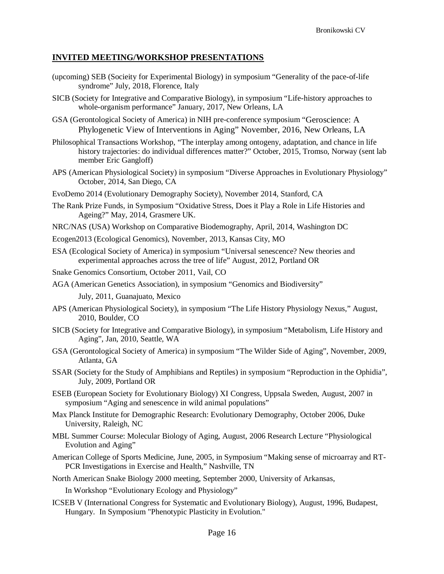#### **INVITED MEETING/WORKSHOP PRESENTATIONS**

- (upcoming) SEB (Socieity for Experimental Biology) in symposium "Generality of the pace-of-life syndrome" July, 2018, Florence, Italy
- SICB (Society for Integrative and Comparative Biology), in symposium "Life-history approaches to whole-organism performance" January, 2017, New Orleans, LA
- GSA (Gerontological Society of America) in NIH pre-conference symposium "Geroscience: A Phylogenetic View of Interventions in Aging" November, 2016, New Orleans, LA
- Philosophical Transactions Workshop, "The interplay among ontogeny, adaptation, and chance in life history trajectories: do individual differences matter?" October, 2015, Tromso, Norway (sent lab member Eric Gangloff)
- APS (American Physiological Society) in symposium "Diverse Approaches in Evolutionary Physiology" October, 2014, San Diego, CA
- EvoDemo 2014 (Evolutionary Demography Society), November 2014, Stanford, CA
- The Rank Prize Funds, in Symposium "Oxidative Stress, Does it Play a Role in Life Histories and Ageing?" May, 2014, Grasmere UK.
- NRC/NAS (USA) Workshop on Comparative Biodemography, April, 2014, Washington DC
- Ecogen2013 (Ecological Genomics), November, 2013, Kansas City, MO
- ESA (Ecological Society of America) in symposium "Universal senescence? New theories and experimental approaches across the tree of life" August, 2012, Portland OR
- Snake Genomics Consortium, October 2011, Vail, CO
- AGA (American Genetics Association), in symposium "Genomics and Biodiversity"

July, 2011, Guanajuato, Mexico

- APS (American Physiological Society), in symposium "The Life History Physiology Nexus," August, 2010, Boulder, CO
- SICB (Society for Integrative and Comparative Biology), in symposium "Metabolism, Life History and Aging", Jan, 2010, Seattle, WA
- GSA (Gerontological Society of America) in symposium "The Wilder Side of Aging", November, 2009, Atlanta, GA
- SSAR (Society for the Study of Amphibians and Reptiles) in symposium "Reproduction in the Ophidia", July, 2009, Portland OR
- ESEB (European Society for Evolutionary Biology) XI Congress, Uppsala Sweden, August, 2007 in symposium "Aging and senescence in wild animal populations"
- Max Planck Institute for Demographic Research: Evolutionary Demography, October 2006, Duke University, Raleigh, NC
- MBL Summer Course: Molecular Biology of Aging, August, 2006 Research Lecture "Physiological Evolution and Aging"
- American College of Sports Medicine, June, 2005, in Symposium "Making sense of microarray and RT-PCR Investigations in Exercise and Health," Nashville, TN

North American Snake Biology 2000 meeting, September 2000, University of Arkansas,

In Workshop "Evolutionary Ecology and Physiology"

ICSEB V (International Congress for Systematic and Evolutionary Biology), August, 1996, Budapest, Hungary. In Symposium "Phenotypic Plasticity in Evolution."